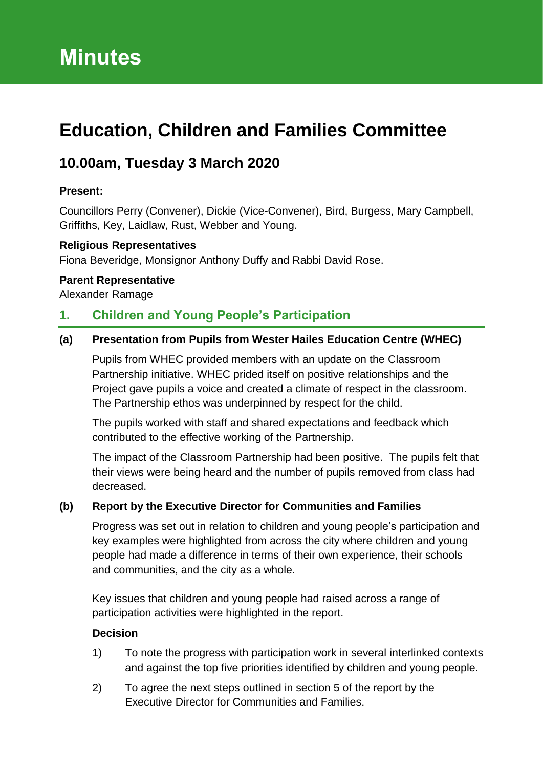# **Education, Children and Families Committee**

## **10.00am, Tuesday 3 March 2020**

#### **Present:**

Councillors Perry (Convener), Dickie (Vice-Convener), Bird, Burgess, Mary Campbell, Griffiths, Key, Laidlaw, Rust, Webber and Young.

#### **Religious Representatives**

Fiona Beveridge, Monsignor Anthony Duffy and Rabbi David Rose.

#### **Parent Representative**

Alexander Ramage

## **1. Children and Young People's Participation**

#### **(a) Presentation from Pupils from Wester Hailes Education Centre (WHEC)**

Pupils from WHEC provided members with an update on the Classroom Partnership initiative. WHEC prided itself on positive relationships and the Project gave pupils a voice and created a climate of respect in the classroom. The Partnership ethos was underpinned by respect for the child.

The pupils worked with staff and shared expectations and feedback which contributed to the effective working of the Partnership.

The impact of the Classroom Partnership had been positive. The pupils felt that their views were being heard and the number of pupils removed from class had decreased.

#### **(b) Report by the Executive Director for Communities and Families**

Progress was set out in relation to children and young people's participation and key examples were highlighted from across the city where children and young people had made a difference in terms of their own experience, their schools and communities, and the city as a whole.

Key issues that children and young people had raised across a range of participation activities were highlighted in the report.

#### **Decision**

- 1) To note the progress with participation work in several interlinked contexts and against the top five priorities identified by children and young people.
- 2) To agree the next steps outlined in section 5 of the report by the Executive Director for Communities and Families.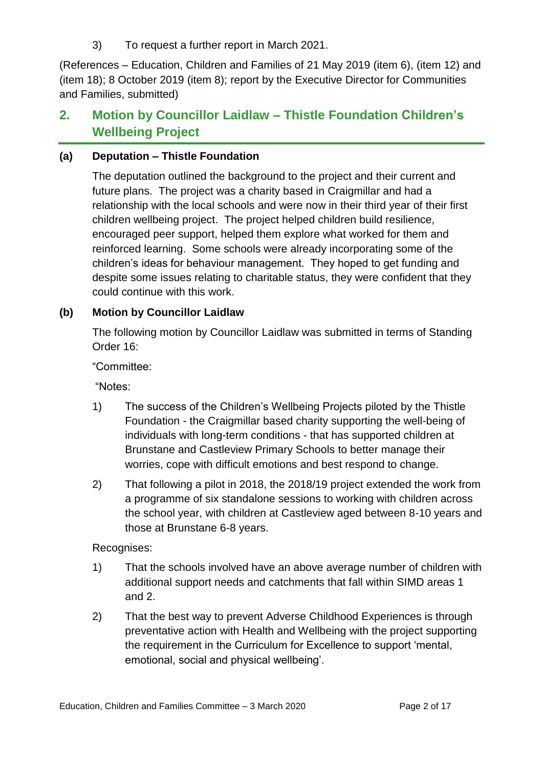3) To request a further report in March 2021.

(References – Education, Children and Families of 21 May 2019 (item 6), (item 12) and (item 18); 8 October 2019 (item 8); report by the Executive Director for Communities and Families, submitted)

## **2. Motion by Councillor Laidlaw – Thistle Foundation Children's Wellbeing Project**

### **(a) Deputation – Thistle Foundation**

The deputation outlined the background to the project and their current and future plans. The project was a charity based in Craigmillar and had a relationship with the local schools and were now in their third year of their first children wellbeing project. The project helped children build resilience, encouraged peer support, helped them explore what worked for them and reinforced learning. Some schools were already incorporating some of the children's ideas for behaviour management. They hoped to get funding and despite some issues relating to charitable status, they were confident that they could continue with this work.

## **(b) Motion by Councillor Laidlaw**

The following motion by Councillor Laidlaw was submitted in terms of Standing Order 16:

"Committee:

"Notes:

- 1) The success of the Children's Wellbeing Projects piloted by the Thistle Foundation - the Craigmillar based charity supporting the well-being of individuals with long-term conditions - that has supported children at Brunstane and Castleview Primary Schools to better manage their worries, cope with difficult emotions and best respond to change.
- 2) That following a pilot in 2018, the 2018/19 project extended the work from a programme of six standalone sessions to working with children across the school year, with children at Castleview aged between 8-10 years and those at Brunstane 6-8 years.

Recognises:

- 1) That the schools involved have an above average number of children with additional support needs and catchments that fall within SIMD areas 1 and 2.
- 2) That the best way to prevent Adverse Childhood Experiences is through preventative action with Health and Wellbeing with the project supporting the requirement in the Curriculum for Excellence to support 'mental, emotional, social and physical wellbeing'.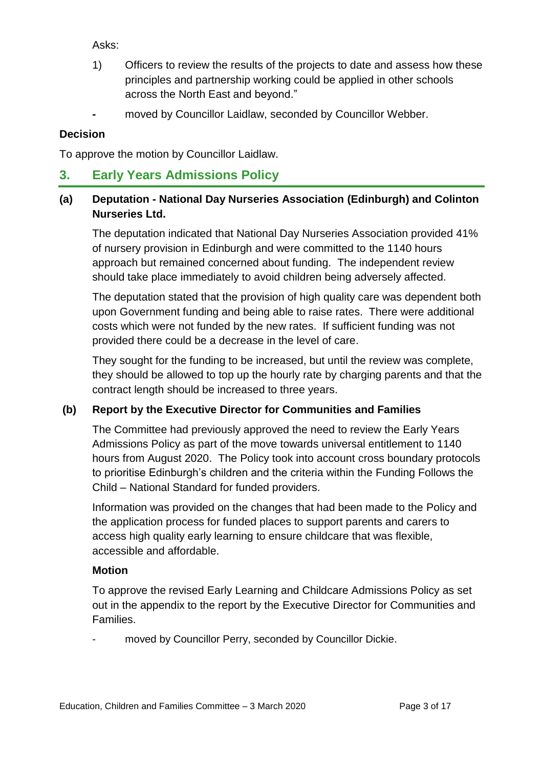Asks:

- 1) Officers to review the results of the projects to date and assess how these principles and partnership working could be applied in other schools across the North East and beyond."
- **-** moved by Councillor Laidlaw, seconded by Councillor Webber.

#### **Decision**

To approve the motion by Councillor Laidlaw.

## **3. Early Years Admissions Policy**

### **(a) Deputation - National Day Nurseries Association (Edinburgh) and Colinton Nurseries Ltd.**

The deputation indicated that National Day Nurseries Association provided 41% of nursery provision in Edinburgh and were committed to the 1140 hours approach but remained concerned about funding. The independent review should take place immediately to avoid children being adversely affected.

The deputation stated that the provision of high quality care was dependent both upon Government funding and being able to raise rates. There were additional costs which were not funded by the new rates. If sufficient funding was not provided there could be a decrease in the level of care.

They sought for the funding to be increased, but until the review was complete, they should be allowed to top up the hourly rate by charging parents and that the contract length should be increased to three years.

#### **(b) Report by the Executive Director for Communities and Families**

The Committee had previously approved the need to review the Early Years Admissions Policy as part of the move towards universal entitlement to 1140 hours from August 2020. The Policy took into account cross boundary protocols to prioritise Edinburgh's children and the criteria within the Funding Follows the Child – National Standard for funded providers.

Information was provided on the changes that had been made to the Policy and the application process for funded places to support parents and carers to access high quality early learning to ensure childcare that was flexible, accessible and affordable.

#### **Motion**

To approve the revised Early Learning and Childcare Admissions Policy as set out in the appendix to the report by the Executive Director for Communities and Families.

moved by Councillor Perry, seconded by Councillor Dickie.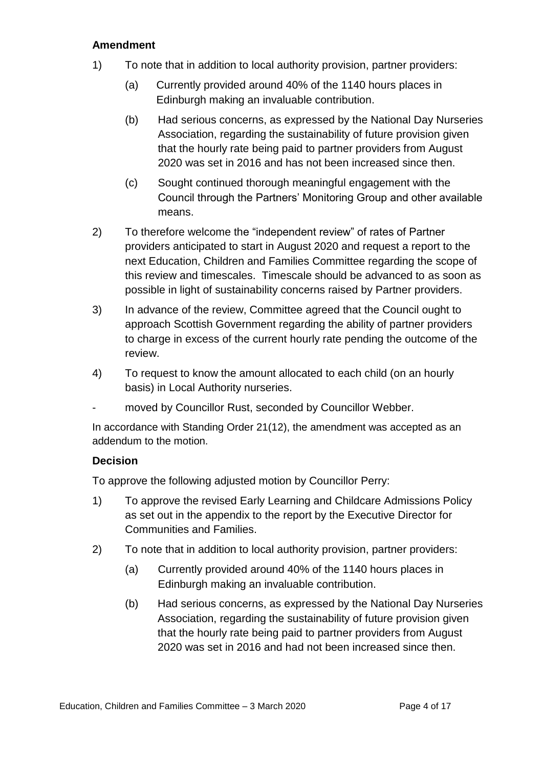#### **Amendment**

- 1) To note that in addition to local authority provision, partner providers:
	- (a) Currently provided around 40% of the 1140 hours places in Edinburgh making an invaluable contribution.
	- (b) Had serious concerns, as expressed by the National Day Nurseries Association, regarding the sustainability of future provision given that the hourly rate being paid to partner providers from August 2020 was set in 2016 and has not been increased since then.
	- (c) Sought continued thorough meaningful engagement with the Council through the Partners' Monitoring Group and other available means.
- 2) To therefore welcome the "independent review" of rates of Partner providers anticipated to start in August 2020 and request a report to the next Education, Children and Families Committee regarding the scope of this review and timescales. Timescale should be advanced to as soon as possible in light of sustainability concerns raised by Partner providers.
- 3) In advance of the review, Committee agreed that the Council ought to approach Scottish Government regarding the ability of partner providers to charge in excess of the current hourly rate pending the outcome of the review.
- 4) To request to know the amount allocated to each child (on an hourly basis) in Local Authority nurseries.
- moved by Councillor Rust, seconded by Councillor Webber.

In accordance with Standing Order 21(12), the amendment was accepted as an addendum to the motion.

#### **Decision**

To approve the following adjusted motion by Councillor Perry:

- 1) To approve the revised Early Learning and Childcare Admissions Policy as set out in the appendix to the report by the Executive Director for Communities and Families.
- 2) To note that in addition to local authority provision, partner providers:
	- (a) Currently provided around 40% of the 1140 hours places in Edinburgh making an invaluable contribution.
	- (b) Had serious concerns, as expressed by the National Day Nurseries Association, regarding the sustainability of future provision given that the hourly rate being paid to partner providers from August 2020 was set in 2016 and had not been increased since then.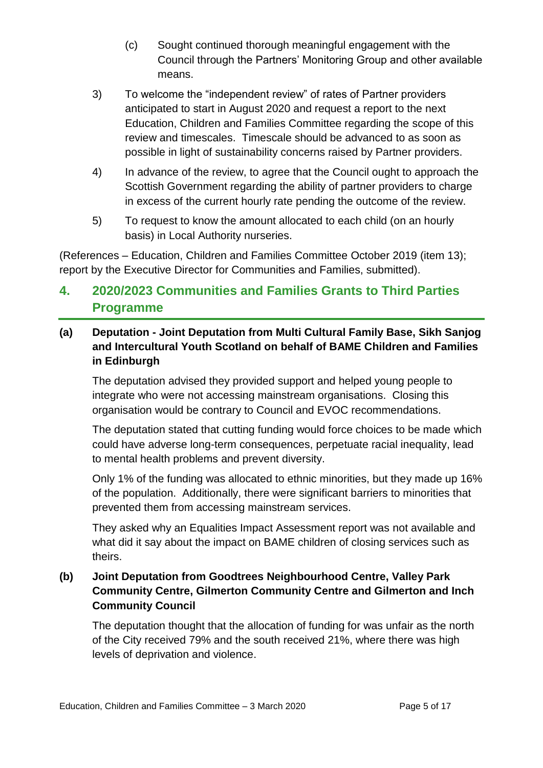- (c) Sought continued thorough meaningful engagement with the Council through the Partners' Monitoring Group and other available means.
- 3) To welcome the "independent review" of rates of Partner providers anticipated to start in August 2020 and request a report to the next Education, Children and Families Committee regarding the scope of this review and timescales. Timescale should be advanced to as soon as possible in light of sustainability concerns raised by Partner providers.
- 4) In advance of the review, to agree that the Council ought to approach the Scottish Government regarding the ability of partner providers to charge in excess of the current hourly rate pending the outcome of the review.
- 5) To request to know the amount allocated to each child (on an hourly basis) in Local Authority nurseries.

(References – Education, Children and Families Committee October 2019 (item 13); report by the Executive Director for Communities and Families, submitted).

## **4. 2020/2023 Communities and Families Grants to Third Parties Programme**

## **(a) Deputation - Joint Deputation from Multi Cultural Family Base, Sikh Sanjog and Intercultural Youth Scotland on behalf of BAME Children and Families in Edinburgh**

The deputation advised they provided support and helped young people to integrate who were not accessing mainstream organisations. Closing this organisation would be contrary to Council and EVOC recommendations.

The deputation stated that cutting funding would force choices to be made which could have adverse long-term consequences, perpetuate racial inequality, lead to mental health problems and prevent diversity.

Only 1% of the funding was allocated to ethnic minorities, but they made up 16% of the population. Additionally, there were significant barriers to minorities that prevented them from accessing mainstream services.

They asked why an Equalities Impact Assessment report was not available and what did it say about the impact on BAME children of closing services such as theirs.

### **(b) Joint Deputation from Goodtrees Neighbourhood Centre, Valley Park Community Centre, Gilmerton Community Centre and Gilmerton and Inch Community Council**

The deputation thought that the allocation of funding for was unfair as the north of the City received 79% and the south received 21%, where there was high levels of deprivation and violence.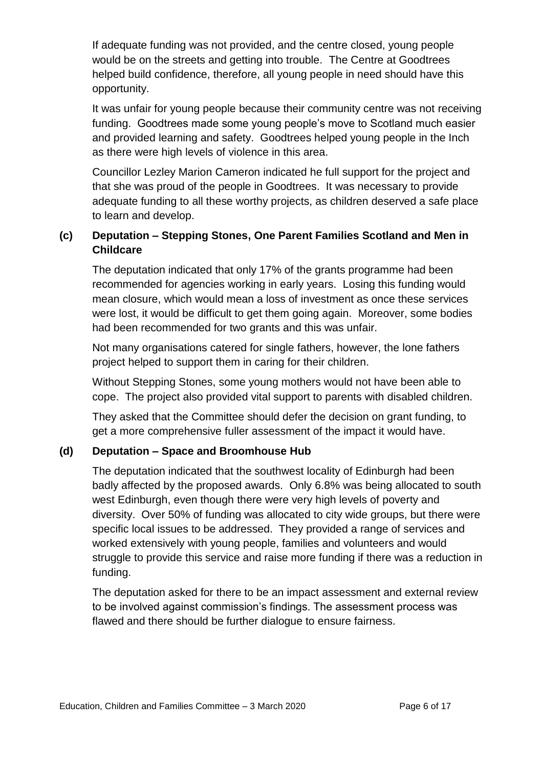If adequate funding was not provided, and the centre closed, young people would be on the streets and getting into trouble. The Centre at Goodtrees helped build confidence, therefore, all young people in need should have this opportunity.

It was unfair for young people because their community centre was not receiving funding. Goodtrees made some young people's move to Scotland much easier and provided learning and safety. Goodtrees helped young people in the Inch as there were high levels of violence in this area.

Councillor Lezley Marion Cameron indicated he full support for the project and that she was proud of the people in Goodtrees. It was necessary to provide adequate funding to all these worthy projects, as children deserved a safe place to learn and develop.

## **(c) Deputation – Stepping Stones, One Parent Families Scotland and Men in Childcare**

The deputation indicated that only 17% of the grants programme had been recommended for agencies working in early years. Losing this funding would mean closure, which would mean a loss of investment as once these services were lost, it would be difficult to get them going again. Moreover, some bodies had been recommended for two grants and this was unfair.

Not many organisations catered for single fathers, however, the lone fathers project helped to support them in caring for their children.

Without Stepping Stones, some young mothers would not have been able to cope. The project also provided vital support to parents with disabled children.

They asked that the Committee should defer the decision on grant funding, to get a more comprehensive fuller assessment of the impact it would have.

## **(d) Deputation – Space and Broomhouse Hub**

The deputation indicated that the southwest locality of Edinburgh had been badly affected by the proposed awards. Only 6.8% was being allocated to south west Edinburgh, even though there were very high levels of poverty and diversity. Over 50% of funding was allocated to city wide groups, but there were specific local issues to be addressed. They provided a range of services and worked extensively with young people, families and volunteers and would struggle to provide this service and raise more funding if there was a reduction in funding.

The deputation asked for there to be an impact assessment and external review to be involved against commission's findings. The assessment process was flawed and there should be further dialogue to ensure fairness.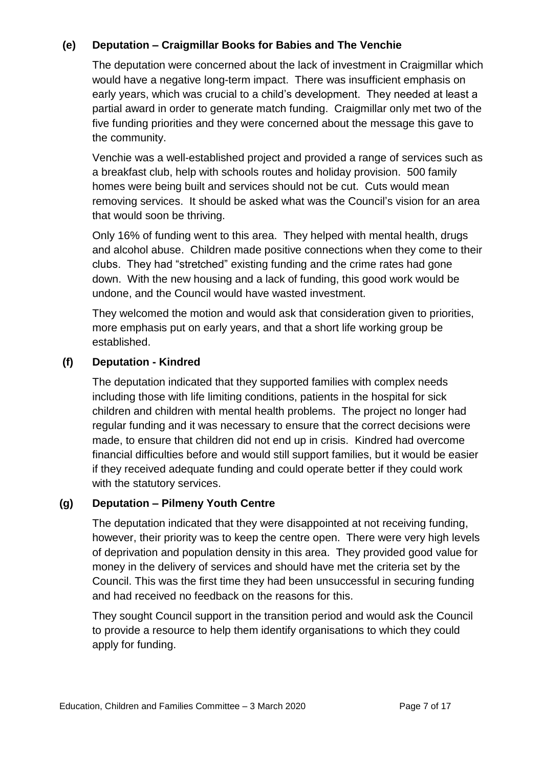### **(e) Deputation – Craigmillar Books for Babies and The Venchie**

The deputation were concerned about the lack of investment in Craigmillar which would have a negative long-term impact. There was insufficient emphasis on early years, which was crucial to a child's development. They needed at least a partial award in order to generate match funding. Craigmillar only met two of the five funding priorities and they were concerned about the message this gave to the community.

Venchie was a well-established project and provided a range of services such as a breakfast club, help with schools routes and holiday provision. 500 family homes were being built and services should not be cut. Cuts would mean removing services. It should be asked what was the Council's vision for an area that would soon be thriving.

Only 16% of funding went to this area. They helped with mental health, drugs and alcohol abuse. Children made positive connections when they come to their clubs. They had "stretched" existing funding and the crime rates had gone down. With the new housing and a lack of funding, this good work would be undone, and the Council would have wasted investment.

They welcomed the motion and would ask that consideration given to priorities, more emphasis put on early years, and that a short life working group be established.

#### **(f) Deputation - Kindred**

The deputation indicated that they supported families with complex needs including those with life limiting conditions, patients in the hospital for sick children and children with mental health problems. The project no longer had regular funding and it was necessary to ensure that the correct decisions were made, to ensure that children did not end up in crisis. Kindred had overcome financial difficulties before and would still support families, but it would be easier if they received adequate funding and could operate better if they could work with the statutory services.

#### **(g) Deputation – Pilmeny Youth Centre**

The deputation indicated that they were disappointed at not receiving funding, however, their priority was to keep the centre open. There were very high levels of deprivation and population density in this area. They provided good value for money in the delivery of services and should have met the criteria set by the Council. This was the first time they had been unsuccessful in securing funding and had received no feedback on the reasons for this.

They sought Council support in the transition period and would ask the Council to provide a resource to help them identify organisations to which they could apply for funding.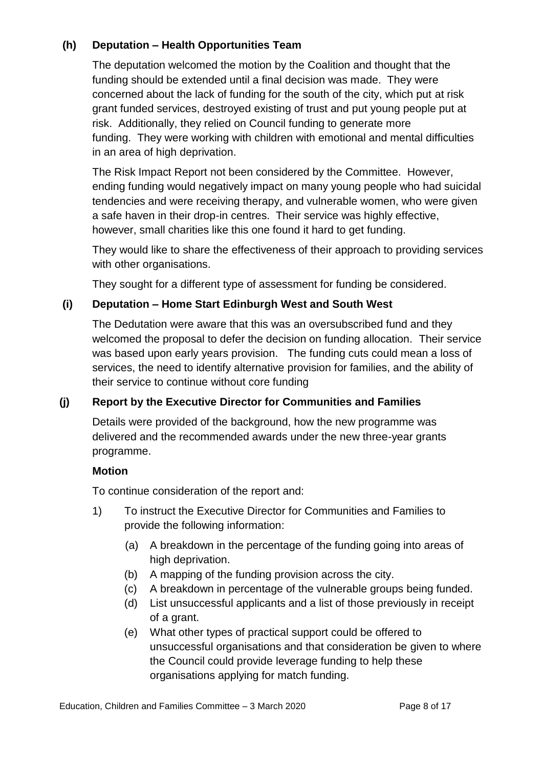## **(h) Deputation – Health Opportunities Team**

The deputation welcomed the motion by the Coalition and thought that the funding should be extended until a final decision was made. They were concerned about the lack of funding for the south of the city, which put at risk grant funded services, destroyed existing of trust and put young people put at risk. Additionally, they relied on Council funding to generate more funding. They were working with children with emotional and mental difficulties in an area of high deprivation.

The Risk Impact Report not been considered by the Committee. However, ending funding would negatively impact on many young people who had suicidal tendencies and were receiving therapy, and vulnerable women, who were given a safe haven in their drop-in centres. Their service was highly effective, however, small charities like this one found it hard to get funding.

They would like to share the effectiveness of their approach to providing services with other organisations.

They sought for a different type of assessment for funding be considered.

## **(i) Deputation – Home Start Edinburgh West and South West**

The Dedutation were aware that this was an oversubscribed fund and they welcomed the proposal to defer the decision on funding allocation. Their service was based upon early years provision. The funding cuts could mean a loss of services, the need to identify alternative provision for families, and the ability of their service to continue without core funding

## **(j) Report by the Executive Director for Communities and Families**

Details were provided of the background, how the new programme was delivered and the recommended awards under the new three-year grants programme.

#### **Motion**

To continue consideration of the report and:

- 1) To instruct the Executive Director for Communities and Families to provide the following information:
	- (a) A breakdown in the percentage of the funding going into areas of high deprivation.
	- (b) A mapping of the funding provision across the city.
	- (c) A breakdown in percentage of the vulnerable groups being funded.
	- (d) List unsuccessful applicants and a list of those previously in receipt of a grant.
	- (e) What other types of practical support could be offered to unsuccessful organisations and that consideration be given to where the Council could provide leverage funding to help these organisations applying for match funding.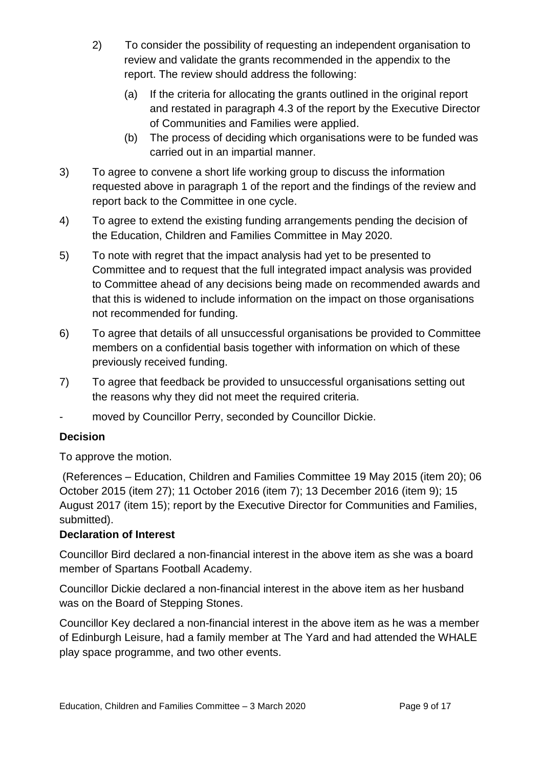- 2) To consider the possibility of requesting an independent organisation to review and validate the grants recommended in the appendix to the report. The review should address the following:
	- (a) If the criteria for allocating the grants outlined in the original report and restated in paragraph 4.3 of the report by the Executive Director of Communities and Families were applied.
	- (b) The process of deciding which organisations were to be funded was carried out in an impartial manner.
- 3) To agree to convene a short life working group to discuss the information requested above in paragraph 1 of the report and the findings of the review and report back to the Committee in one cycle.
- 4) To agree to extend the existing funding arrangements pending the decision of the Education, Children and Families Committee in May 2020.
- 5) To note with regret that the impact analysis had yet to be presented to Committee and to request that the full integrated impact analysis was provided to Committee ahead of any decisions being made on recommended awards and that this is widened to include information on the impact on those organisations not recommended for funding.
- 6) To agree that details of all unsuccessful organisations be provided to Committee members on a confidential basis together with information on which of these previously received funding.
- 7) To agree that feedback be provided to unsuccessful organisations setting out the reasons why they did not meet the required criteria.
- moved by Councillor Perry, seconded by Councillor Dickie.

#### **Decision**

To approve the motion.

(References – Education, Children and Families Committee 19 May 2015 (item 20); 06 October 2015 (item 27); 11 October 2016 (item 7); 13 December 2016 (item 9); 15 August 2017 (item 15); report by the Executive Director for Communities and Families, submitted).

#### **Declaration of Interest**

Councillor Bird declared a non-financial interest in the above item as she was a board member of Spartans Football Academy.

Councillor Dickie declared a non-financial interest in the above item as her husband was on the Board of Stepping Stones.

Councillor Key declared a non-financial interest in the above item as he was a member of Edinburgh Leisure, had a family member at The Yard and had attended the WHALE play space programme, and two other events.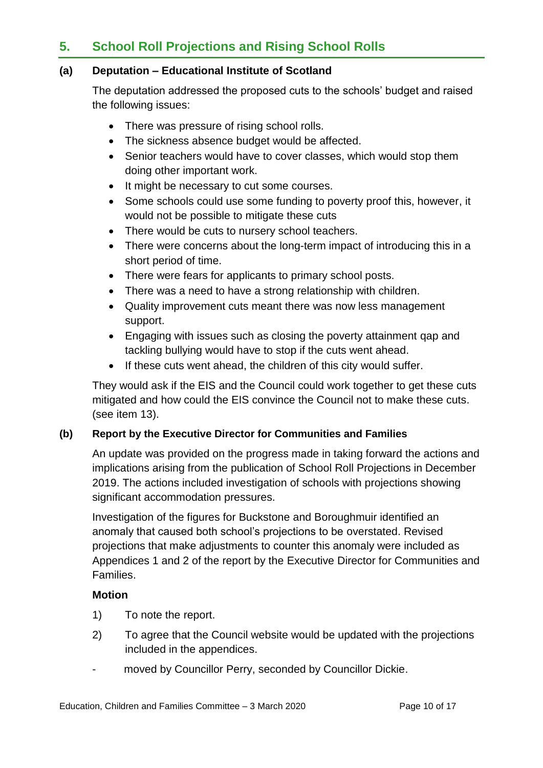## **5. School Roll Projections and Rising School Rolls**

#### **(a) Deputation – Educational Institute of Scotland**

The deputation addressed the proposed cuts to the schools' budget and raised the following issues:

- There was pressure of rising school rolls.
- The sickness absence budget would be affected.
- Senior teachers would have to cover classes, which would stop them doing other important work.
- It might be necessary to cut some courses.
- Some schools could use some funding to poverty proof this, however, it would not be possible to mitigate these cuts
- There would be cuts to nursery school teachers.
- There were concerns about the long-term impact of introducing this in a short period of time.
- There were fears for applicants to primary school posts.
- There was a need to have a strong relationship with children.
- Quality improvement cuts meant there was now less management support.
- Engaging with issues such as closing the poverty attainment qap and tackling bullying would have to stop if the cuts went ahead.
- If these cuts went ahead, the children of this city would suffer.

They would ask if the EIS and the Council could work together to get these cuts mitigated and how could the EIS convince the Council not to make these cuts. (see item 13).

#### **(b) Report by the Executive Director for Communities and Families**

An update was provided on the progress made in taking forward the actions and implications arising from the publication of School Roll Projections in December 2019. The actions included investigation of schools with projections showing significant accommodation pressures.

Investigation of the figures for Buckstone and Boroughmuir identified an anomaly that caused both school's projections to be overstated. Revised projections that make adjustments to counter this anomaly were included as Appendices 1 and 2 of the report by the Executive Director for Communities and Families.

#### **Motion**

- 1) To note the report.
- 2) To agree that the Council website would be updated with the projections included in the appendices.
- moved by Councillor Perry, seconded by Councillor Dickie.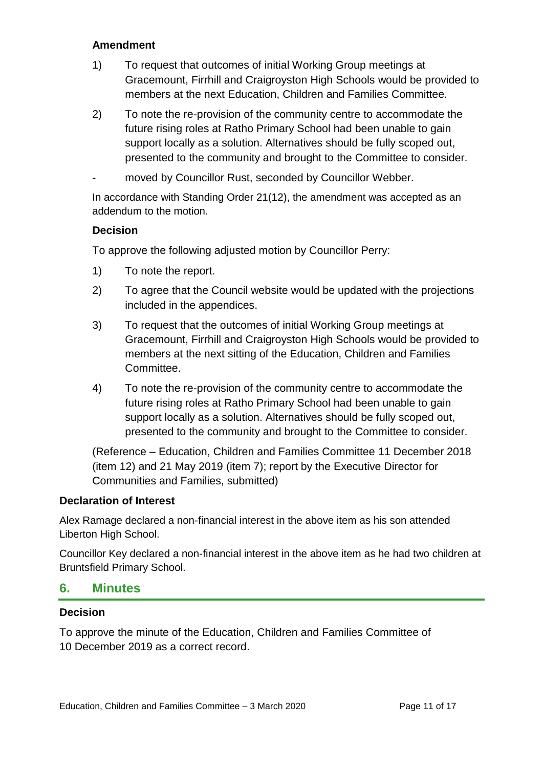#### **Amendment**

- 1) To request that outcomes of initial Working Group meetings at Gracemount, Firrhill and Craigroyston High Schools would be provided to members at the next Education, Children and Families Committee.
- 2) To note the re-provision of the community centre to accommodate the future rising roles at Ratho Primary School had been unable to gain support locally as a solution. Alternatives should be fully scoped out, presented to the community and brought to the Committee to consider.
- moved by Councillor Rust, seconded by Councillor Webber.

In accordance with Standing Order 21(12), the amendment was accepted as an addendum to the motion.

#### **Decision**

To approve the following adjusted motion by Councillor Perry:

- 1) To note the report.
- 2) To agree that the Council website would be updated with the projections included in the appendices.
- 3) To request that the outcomes of initial Working Group meetings at Gracemount, Firrhill and Craigroyston High Schools would be provided to members at the next sitting of the Education, Children and Families Committee.
- 4) To note the re-provision of the community centre to accommodate the future rising roles at Ratho Primary School had been unable to gain support locally as a solution. Alternatives should be fully scoped out, presented to the community and brought to the Committee to consider.

(Reference – Education, Children and Families Committee 11 December 2018 (item 12) and 21 May 2019 (item 7); report by the Executive Director for Communities and Families, submitted)

#### **Declaration of Interest**

Alex Ramage declared a non-financial interest in the above item as his son attended Liberton High School.

Councillor Key declared a non-financial interest in the above item as he had two children at Bruntsfield Primary School.

#### **6. Minutes**

#### **Decision**

To approve the minute of the Education, Children and Families Committee of 10 December 2019 as a correct record.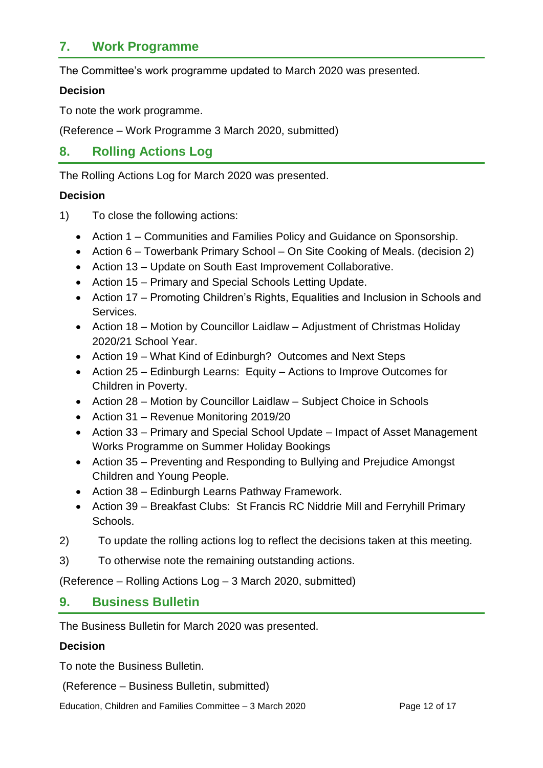## **7. Work Programme**

The Committee's work programme updated to March 2020 was presented.

#### **Decision**

To note the work programme.

(Reference – Work Programme 3 March 2020, submitted)

## **8. Rolling Actions Log**

The Rolling Actions Log for March 2020 was presented.

#### **Decision**

- 1) To close the following actions:
	- Action 1 Communities and Families Policy and Guidance on Sponsorship.
	- Action 6 Towerbank Primary School On Site Cooking of Meals. (decision 2)
	- Action 13 Update on South East Improvement Collaborative.
	- Action 15 Primary and Special Schools Letting Update.
	- Action 17 Promoting Children's Rights, Equalities and Inclusion in Schools and Services.
	- Action 18 Motion by Councillor Laidlaw Adjustment of Christmas Holiday 2020/21 School Year.
	- Action 19 What Kind of Edinburgh? Outcomes and Next Steps
	- Action 25 Edinburgh Learns: Equity Actions to Improve Outcomes for Children in Poverty.
	- Action 28 Motion by Councillor Laidlaw Subject Choice in Schools
	- Action 31 Revenue Monitoring 2019/20
	- Action 33 Primary and Special School Update Impact of Asset Management Works Programme on Summer Holiday Bookings
	- Action 35 Preventing and Responding to Bullying and Prejudice Amongst Children and Young People.
	- Action 38 Edinburgh Learns Pathway Framework.
	- Action 39 Breakfast Clubs: St Francis RC Niddrie Mill and Ferryhill Primary Schools.
- 2) To update the rolling actions log to reflect the decisions taken at this meeting.
- 3) To otherwise note the remaining outstanding actions.

(Reference – Rolling Actions Log – 3 March 2020, submitted)

## **9. Business Bulletin**

The Business Bulletin for March 2020 was presented.

#### **Decision**

To note the Business Bulletin.

(Reference – Business Bulletin, submitted)

Education, Children and Families Committee – 3 March 2020 Page 12 of 17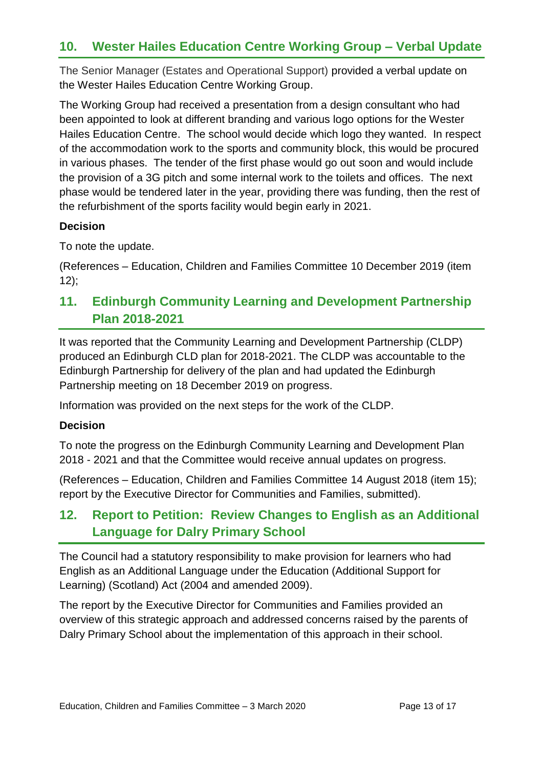## **10. Wester Hailes Education Centre Working Group – Verbal Update**

The Senior Manager (Estates and Operational Support) provided a verbal update on the Wester Hailes Education Centre Working Group.

The Working Group had received a presentation from a design consultant who had been appointed to look at different branding and various logo options for the Wester Hailes Education Centre. The school would decide which logo they wanted. In respect of the accommodation work to the sports and community block, this would be procured in various phases. The tender of the first phase would go out soon and would include the provision of a 3G pitch and some internal work to the toilets and offices. The next phase would be tendered later in the year, providing there was funding, then the rest of the refurbishment of the sports facility would begin early in 2021.

#### **Decision**

To note the update.

(References – Education, Children and Families Committee 10 December 2019 (item  $12$ ;

## **11. Edinburgh Community Learning and Development Partnership Plan 2018-2021**

It was reported that the Community Learning and Development Partnership (CLDP) produced an Edinburgh CLD plan for 2018-2021. The CLDP was accountable to the Edinburgh Partnership for delivery of the plan and had updated the Edinburgh Partnership meeting on 18 December 2019 on progress.

Information was provided on the next steps for the work of the CLDP.

#### **Decision**

To note the progress on the Edinburgh Community Learning and Development Plan 2018 - 2021 and that the Committee would receive annual updates on progress.

(References – Education, Children and Families Committee 14 August 2018 (item 15); report by the Executive Director for Communities and Families, submitted).

## **12. Report to Petition: Review Changes to English as an Additional Language for Dalry Primary School**

The Council had a statutory responsibility to make provision for learners who had English as an Additional Language under the Education (Additional Support for Learning) (Scotland) Act (2004 and amended 2009).

The report by the Executive Director for Communities and Families provided an overview of this strategic approach and addressed concerns raised by the parents of Dalry Primary School about the implementation of this approach in their school.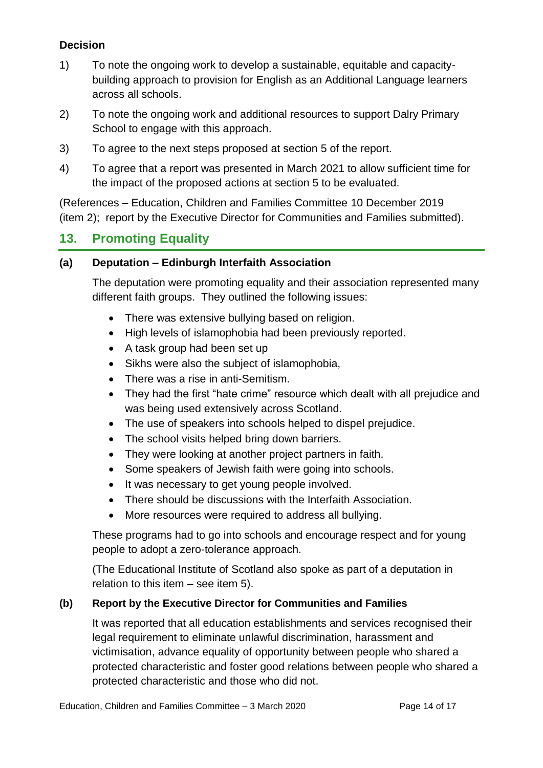## **Decision**

- 1) To note the ongoing work to develop a sustainable, equitable and capacitybuilding approach to provision for English as an Additional Language learners across all schools.
- 2) To note the ongoing work and additional resources to support Dalry Primary School to engage with this approach.
- 3) To agree to the next steps proposed at section 5 of the report.
- 4) To agree that a report was presented in March 2021 to allow sufficient time for the impact of the proposed actions at section 5 to be evaluated.

(References – Education, Children and Families Committee 10 December 2019 (item 2); report by the Executive Director for Communities and Families submitted).

## **13. Promoting Equality**

#### **(a) Deputation – Edinburgh Interfaith Association**

The deputation were promoting equality and their association represented many different faith groups. They outlined the following issues:

- There was extensive bullying based on religion.
- High levels of islamophobia had been previously reported.
- A task group had been set up
- Sikhs were also the subject of islamophobia,
- There was a rise in anti-Semitism.
- They had the first "hate crime" resource which dealt with all prejudice and was being used extensively across Scotland.
- The use of speakers into schools helped to dispel prejudice.
- The school visits helped bring down barriers.
- They were looking at another project partners in faith.
- Some speakers of Jewish faith were going into schools.
- It was necessary to get young people involved.
- There should be discussions with the Interfaith Association.
- More resources were required to address all bullying.

These programs had to go into schools and encourage respect and for young people to adopt a zero-tolerance approach.

(The Educational Institute of Scotland also spoke as part of a deputation in relation to this item – see item 5).

#### **(b) Report by the Executive Director for Communities and Families**

It was reported that all education establishments and services recognised their legal requirement to eliminate unlawful discrimination, harassment and victimisation, advance equality of opportunity between people who shared a protected characteristic and foster good relations between people who shared a protected characteristic and those who did not.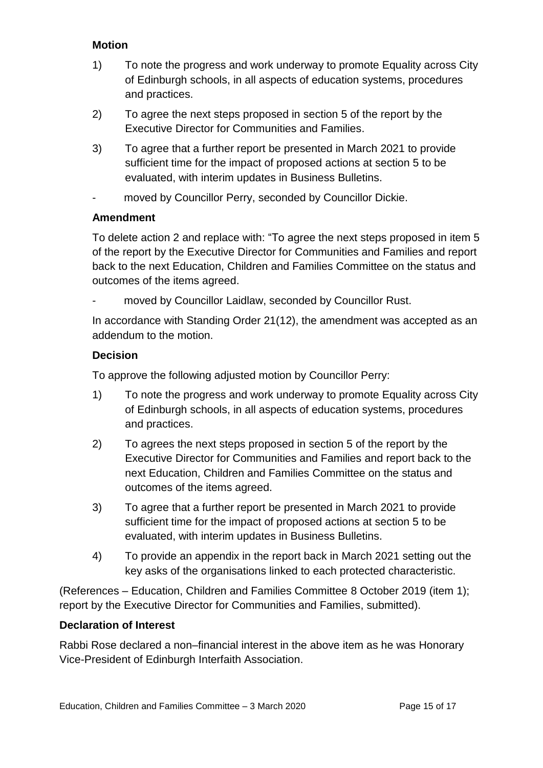#### **Motion**

- 1) To note the progress and work underway to promote Equality across City of Edinburgh schools, in all aspects of education systems, procedures and practices.
- 2) To agree the next steps proposed in section 5 of the report by the Executive Director for Communities and Families.
- 3) To agree that a further report be presented in March 2021 to provide sufficient time for the impact of proposed actions at section 5 to be evaluated, with interim updates in Business Bulletins.
- moved by Councillor Perry, seconded by Councillor Dickie.

### **Amendment**

To delete action 2 and replace with: "To agree the next steps proposed in item 5 of the report by the Executive Director for Communities and Families and report back to the next Education, Children and Families Committee on the status and outcomes of the items agreed.

moved by Councillor Laidlaw, seconded by Councillor Rust.

In accordance with Standing Order 21(12), the amendment was accepted as an addendum to the motion.

### **Decision**

To approve the following adjusted motion by Councillor Perry:

- 1) To note the progress and work underway to promote Equality across City of Edinburgh schools, in all aspects of education systems, procedures and practices.
- 2) To agrees the next steps proposed in section 5 of the report by the Executive Director for Communities and Families and report back to the next Education, Children and Families Committee on the status and outcomes of the items agreed.
- 3) To agree that a further report be presented in March 2021 to provide sufficient time for the impact of proposed actions at section 5 to be evaluated, with interim updates in Business Bulletins.
- 4) To provide an appendix in the report back in March 2021 setting out the key asks of the organisations linked to each protected characteristic.

(References – Education, Children and Families Committee 8 October 2019 (item 1); report by the Executive Director for Communities and Families, submitted).

#### **Declaration of Interest**

Rabbi Rose declared a non–financial interest in the above item as he was Honorary Vice-President of Edinburgh Interfaith Association.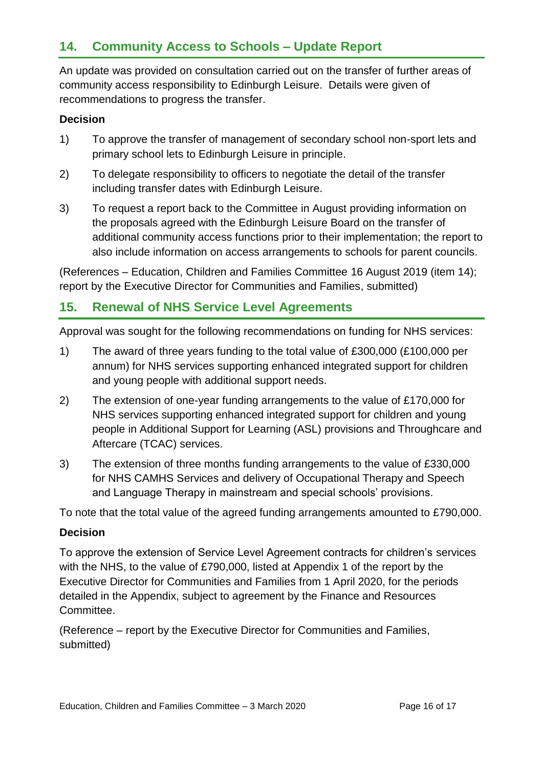## **14. Community Access to Schools – Update Report**

An update was provided on consultation carried out on the transfer of further areas of community access responsibility to Edinburgh Leisure. Details were given of recommendations to progress the transfer.

#### **Decision**

- 1) To approve the transfer of management of secondary school non-sport lets and primary school lets to Edinburgh Leisure in principle.
- 2) To delegate responsibility to officers to negotiate the detail of the transfer including transfer dates with Edinburgh Leisure.
- 3) To request a report back to the Committee in August providing information on the proposals agreed with the Edinburgh Leisure Board on the transfer of additional community access functions prior to their implementation; the report to also include information on access arrangements to schools for parent councils.

(References – Education, Children and Families Committee 16 August 2019 (item 14); report by the Executive Director for Communities and Families, submitted)

## **15. Renewal of NHS Service Level Agreements**

Approval was sought for the following recommendations on funding for NHS services:

- 1) The award of three years funding to the total value of £300,000 (£100,000 per annum) for NHS services supporting enhanced integrated support for children and young people with additional support needs.
- 2) The extension of one-year funding arrangements to the value of £170,000 for NHS services supporting enhanced integrated support for children and young people in Additional Support for Learning (ASL) provisions and Throughcare and Aftercare (TCAC) services.
- 3) The extension of three months funding arrangements to the value of £330,000 for NHS CAMHS Services and delivery of Occupational Therapy and Speech and Language Therapy in mainstream and special schools' provisions.

To note that the total value of the agreed funding arrangements amounted to £790,000.

#### **Decision**

To approve the extension of Service Level Agreement contracts for children's services with the NHS, to the value of £790,000, listed at Appendix 1 of the report by the Executive Director for Communities and Families from 1 April 2020, for the periods detailed in the Appendix, subject to agreement by the Finance and Resources Committee.

(Reference – report by the Executive Director for Communities and Families, submitted)